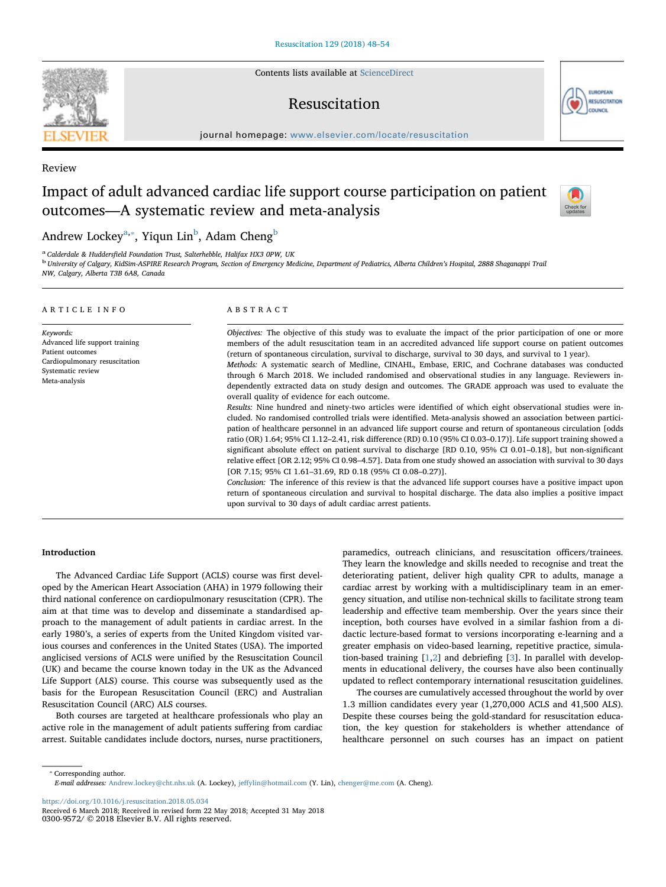Contents lists available at ScienceDirect

# Resuscitation



journal homepage: www.elsevier.com/locate/resuscitation

Review

# Impact of adult advanced cardiac life support course participation on patient outcomes—A systematic review and meta-analysis



# Andrew Lockey $a_{\cdot \cdot}$  $a_{\cdot \cdot}$ , Yiqun Lin $^{\rm b}$  $^{\rm b}$  $^{\rm b}$ , Adam Cheng $^{\rm b}$

<span id="page-0-2"></span>

<span id="page-0-0"></span><sup>a</sup> Calderdale & Huddersfield Foundation Trust, Salterhebble, Halifax HX3 0PW, UK<br><sup>b</sup> University of Calgary, KidSim-ASPIRE Research Program, Section of Emergency Medicine, Department of Pediatrics, Alberta Children's Hospi NW, Calgary, Alberta T3B 6A8, Canada

#### ARTICLE INFO Keywords: Advanced life support training Patient outcomes Cardiopulmonary resuscitation Systematic review Meta-analysis ABSTRACT Objectives: The objective of this study was to evaluate the impact of the prior participation of one or more members of the adult resuscitation team in an accredited advanced life support course on patient outcomes (return of spontaneous circulation, survival to discharge, survival to 30 days, and survival to 1 year). Methods: A systematic search of Medline, CINAHL, Embase, ERIC, and Cochrane databases was conducted through 6 March 2018. We included randomised and observational studies in any language. Reviewers independently extracted data on study design and outcomes. The GRADE approach was used to evaluate the overall quality of evidence for each outcome. Results: Nine hundred and ninety-two articles were identified of which eight observational studies were included. No randomised controlled trials were identified. Meta-analysis showed an association between participation of healthcare personnel in an advanced life support course and return of spontaneous circulation [odds ratio (OR) 1.64; 95% CI 1.12–2.41, risk difference (RD) 0.10 (95% CI 0.03–0.17)]. Life support training showed a significant absolute effect on patient survival to discharge [RD 0.10, 95% CI 0.01–0.18], but non-significant relative effect [OR 2.12; 95% CI 0.98–4.57]. Data from one study showed an association with survival to 30 days [OR 7.15; 95% CI 1.61–31.69, RD 0.18 (95% CI 0.08–0.27)]. Conclusion: The inference of this review is that the advanced life support courses have a positive impact upon return of spontaneous circulation and survival to hospital discharge. The data also implies a positive impact upon survival to 30 days of adult cardiac arrest patients.

# Introduction

The Advanced Cardiac Life Support (ACLS) course was first developed by the American Heart Association (AHA) in 1979 following their third national conference on cardiopulmonary resuscitation (CPR). The aim at that time was to develop and disseminate a standardised approach to the management of adult patients in cardiac arrest. In the early 1980's, a series of experts from the United Kingdom visited various courses and conferences in the United States (USA). The imported anglicised versions of ACLS were unified by the Resuscitation Council (UK) and became the course known today in the UK as the Advanced Life Support (ALS) course. This course was subsequently used as the basis for the European Resuscitation Council (ERC) and Australian Resuscitation Council (ARC) ALS courses.

Both courses are targeted at healthcare professionals who play an active role in the management of adult patients suffering from cardiac arrest. Suitable candidates include doctors, nurses, nurse practitioners,

paramedics, outreach clinicians, and resuscitation officers/trainees. They learn the knowledge and skills needed to recognise and treat the deteriorating patient, deliver high quality CPR to adults, manage a cardiac arrest by working with a multidisciplinary team in an emergency situation, and utilise non-technical skills to facilitate strong team leadership and effective team membership. Over the years since their inception, both courses have evolved in a similar fashion from a didactic lecture-based format to versions incorporating e-learning and a greater emphasis on video-based learning, repetitive practice, simulation-based training [\[1,](#page-6-0)[2](#page-6-1)] and debriefing [[3](#page-6-2)]. In parallel with developments in educational delivery, the courses have also been continually updated to reflect contemporary international resuscitation guidelines.

The courses are cumulatively accessed throughout the world by over 1.3 million candidates every year (1,270,000 ACLS and 41,500 ALS). Despite these courses being the gold-standard for resuscitation education, the key question for stakeholders is whether attendance of healthcare personnel on such courses has an impact on patient

<span id="page-0-1"></span>⁎ Corresponding author. E-mail addresses: Andrew.lockey@cht.nhs.uk (A. Lockey), jeffylin@hotmail.com (Y. Lin), chenger@me.com (A. Cheng).

https://doi.org/10.1016/j.resuscitation.2018.05.034



Received 6 March 2018; Received in revised form 22 May 2018; Accepted 31 May 2018 0300-9572/ © 2018 Elsevier B.V. All rights reserved.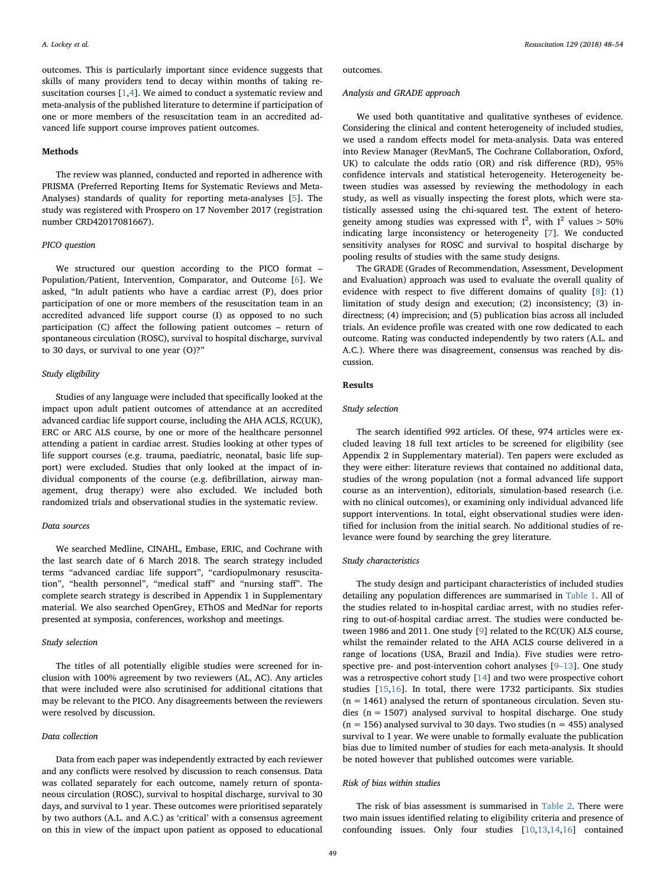outcomes. This is particularly important since evidence suggests that skills of many providers tend to decay within months of taking resuscitation courses [[1](#page-6-0),[4](#page-6-3)]. We aimed to conduct a systematic review and meta-analysis of the published literature to determine if participation of one or more members of the resuscitation team in an accredited advanced life support course improves patient outcomes.

## Methods

The review was planned, conducted and reported in adherence with PRISMA (Preferred Reporting Items for Systematic Reviews and Meta-Analyses) standards of quality for reporting meta-analyses [\[5\]](#page-6-4). The study was registered with Prospero on 17 November 2017 (registration number CRD42017081667).

## PICO question

We structured our question according to the PICO format – Population/Patient, Intervention, Comparator, and Outcome [[6](#page-6-5)]. We asked, "In adult patients who have a cardiac arrest (P), does prior participation of one or more members of the resuscitation team in an accredited advanced life support course (I) as opposed to no such participation (C) affect the following patient outcomes – return of spontaneous circulation (ROSC), survival to hospital discharge, survival to 30 days, or survival to one year (O)?"

## Study eligibility

Studies of any language were included that specifically looked at the impact upon adult patient outcomes of attendance at an accredited advanced cardiac life support course, including the AHA ACLS, RC(UK), ERC or ARC ALS course, by one or more of the healthcare personnel attending a patient in cardiac arrest. Studies looking at other types of life support courses (e.g. trauma, paediatric, neonatal, basic life support) were excluded. Studies that only looked at the impact of individual components of the course (e.g. defibrillation, airway management, drug therapy) were also excluded. We included both randomized trials and observational studies in the systematic review.

#### Data sources

We searched Medline, CINAHL, Embase, ERIC, and Cochrane with the last search date of 6 March 2018. The search strategy included terms "advanced cardiac life support", "cardiopulmonary resuscitation", "health personnel", "medical staff" and "nursing staff". The complete search strategy is described in Appendix 1 in Supplementary material. We also searched OpenGrey, EThOS and MedNar for reports presented at symposia, conferences, workshop and meetings.

#### Study selection

The titles of all potentially eligible studies were screened for inclusion with 100% agreement by two reviewers (AL, AC). Any articles that were included were also scrutinised for additional citations that may be relevant to the PICO. Any disagreements between the reviewers were resolved by discussion.

## Data collection

Data from each paper was independently extracted by each reviewer and any conflicts were resolved by discussion to reach consensus. Data was collated separately for each outcome, namely return of spontaneous circulation (ROSC), survival to hospital discharge, survival to 30 days, and survival to 1 year. These outcomes were prioritised separately by two authors (A.L. and A.C.) as 'critical' with a consensus agreement on this in view of the impact upon patient as opposed to educational outcomes.

#### Analysis and GRADE approach

We used both quantitative and qualitative syntheses of evidence. Considering the clinical and content heterogeneity of included studies, we used a random effects model for meta-analysis. Data was entered into Review Manager (RevMan5, The Cochrane Collaboration, Oxford, UK) to calculate the odds ratio (OR) and risk difference (RD), 95% confidence intervals and statistical heterogeneity. Heterogeneity between studies was assessed by reviewing the methodology in each study, as well as visually inspecting the forest plots, which were statistically assessed using the chi-squared test. The extent of heterogeneity among studies was expressed with  $I^2$ , with  $I^2$  values > 50% indicating large inconsistency or heterogeneity [\[7\]](#page-6-6). We conducted sensitivity analyses for ROSC and survival to hospital discharge by pooling results of studies with the same study designs.

The GRADE (Grades of Recommendation, Assessment, Development and Evaluation) approach was used to evaluate the overall quality of evidence with respect to five different domains of quality [[8](#page-6-7)]: (1) limitation of study design and execution; (2) inconsistency; (3) indirectness; (4) imprecision; and (5) publication bias across all included trials. An evidence profile was created with one row dedicated to each outcome. Rating was conducted independently by two raters (A.L. and A.C.). Where there was disagreement, consensus was reached by discussion.

# Results

## Study selection

The search identified 992 articles. Of these, 974 articles were excluded leaving 18 full text articles to be screened for eligibility (see Appendix 2 in Supplementary material). Ten papers were excluded as they were either: literature reviews that contained no additional data, studies of the wrong population (not a formal advanced life support course as an intervention), editorials, simulation-based research (i.e. with no clinical outcomes), or examining only individual advanced life support interventions. In total, eight observational studies were identified for inclusion from the initial search. No additional studies of relevance were found by searching the grey literature.

#### Study characteristics

The study design and participant characteristics of included studies detailing any population differences are summarised in [Table 1](#page-2-0). All of the studies related to in-hospital cardiac arrest, with no studies referring to out-of-hospital cardiac arrest. The studies were conducted between 1986 and 2011. One study [[9](#page-6-8)] related to the RC(UK) ALS course, whilst the remainder related to the AHA ACLS course delivered in a range of locations (USA, Brazil and India). Five studies were retrospective pre- and post-intervention cohort analyses [9–[13\]](#page-6-8). One study was a retrospective cohort study [[14\]](#page-6-9) and two were prospective cohort studies [[15,](#page-6-10)[16\]](#page-6-11). In total, there were 1732 participants. Six studies  $(n = 1461)$  analysed the return of spontaneous circulation. Seven studies ( $n = 1507$ ) analysed survival to hospital discharge. One study  $(n = 156)$  analysed survival to 30 days. Two studies  $(n = 455)$  analysed survival to 1 year. We were unable to formally evaluate the publication bias due to limited number of studies for each meta-analysis. It should be noted however that published outcomes were variable.

#### Risk of bias within studies

The risk of bias assessment is summarised in [Table 2.](#page-3-0) There were two main issues identified relating to eligibility criteria and presence of confounding issues. Only four studies [[10,](#page-6-12)[13,](#page-6-13)[14](#page-6-9)[,16](#page-6-11)] contained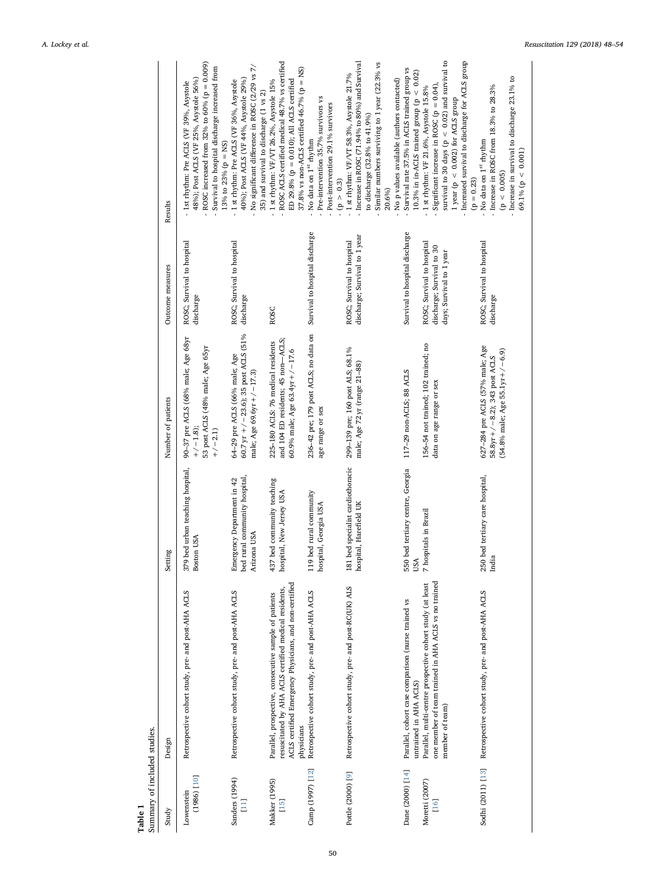<span id="page-2-0"></span>

| Summary of included studies.<br>Table 1               |                                                                                                                                                                                                                      |                                                                            |                                                                                                                 |                                                                                                                       |                                                                                                                                                                                                                                                                                                                                                                                     |
|-------------------------------------------------------|----------------------------------------------------------------------------------------------------------------------------------------------------------------------------------------------------------------------|----------------------------------------------------------------------------|-----------------------------------------------------------------------------------------------------------------|-----------------------------------------------------------------------------------------------------------------------|-------------------------------------------------------------------------------------------------------------------------------------------------------------------------------------------------------------------------------------------------------------------------------------------------------------------------------------------------------------------------------------|
| Study                                                 | Design                                                                                                                                                                                                               | Setting                                                                    | Number of patients                                                                                              | Outcome measures                                                                                                      | Results                                                                                                                                                                                                                                                                                                                                                                             |
| $[101]$ (386)<br>Lowenstein                           | Retrospective cohort study, pre- and post-AHA ACLS                                                                                                                                                                   | 379 bed urban teaching hospital,<br><b>Boston USA</b>                      | 90-37 pre ACLS (68% male; Age 68yr<br>53 post ACLS (48% male; Age 65yr<br>$+/-1.8$<br>$+/-2.1$                  | ROSC; Survival to hospital<br>discharge                                                                               | ROSC increased from 32% to 60% ( $p = 0.009$ )<br>Survival to hospital discharge increased from<br>48%); Post ACLS (VF 25%, Asystole 56%)<br>- 1st rhythm: Pre ACLS (VF 39%, Asystole<br>13% to 23% (p = NS)                                                                                                                                                                        |
| Sanders (1994)<br>$\begin{bmatrix} 11 \end{bmatrix}$  | Retrospective cohort study, pre- and post-AHA ACLS                                                                                                                                                                   | bed rural community hospital,<br>Emergency Department in 42<br>Arizona USA | 60.7 yr $+/-23.6$ ; 35 post ACLS (51%<br>64-29 pre ACLS (66% male; Age<br>male; Age 69.6yr+/-17.3)              | ROSC; Survival to hospital<br>discharge                                                                               | No significant difference in ROSC (2/29 vs 7/<br>40%); Post ACLS (VF 44%, Asystole 29%)<br>- 1 st rhythm: Pre ACLS (VF 36%, Asystole<br>35) and survival to discharge (1 vs 2)                                                                                                                                                                                                      |
| Makker (1995)<br>$[15]$                               | ACLS certified Emergency Physicians, and non-certified<br>resuscitated by AHA ACLS certified medical residents,<br>Parallel, prospective, consecutive sample of patients<br>physicians                               | 437 bed community teaching<br>hospital, New Jersey USA                     | and 104 ED residents; 45 non-ACLS;<br>225-180 ACLS: 76 medical residents<br>60.9% male; Age 63.4yr + $/$ - 17.6 | <b>ROSC</b>                                                                                                           | ROSC ACLS certified medical 48.7% vs certified<br>37.8% vs non-ACLS certified 46.7% ( $p = NS$ )<br>ED 29.8% ( $p = 0.010$ ); All ACLS certified<br>- 1 st rhythm: VF/VT 26.2%, Asystole 15%                                                                                                                                                                                        |
| Camp (1997) [12]                                      | Retrospective cohort study, pre- and post-AHA ACLS                                                                                                                                                                   | 119 bed rural community<br>hospital, Georgia USA                           | 236-42 pre; 179 post ACLS; no data on<br>age range or sex                                                       | Survival to hospital discharge                                                                                        | - Pre-intervention 35.7% survivors vs<br>Post-intervention 29.1% survivors<br>- No data on 1 <sup>st</sup> rhythm<br>(p > 0.3)                                                                                                                                                                                                                                                      |
| Pottle (2000) [9]                                     | Retrospective cohort study, pre- and post-RC(UK) ALS                                                                                                                                                                 | 181 bed specialist cardiothoracic<br>hospital, Harefield UK                | 299-139 pre; 160 post ALS; 68.1%<br>male; Age 72 yr (range 21-88)                                               | discharge; Survival to 1 year<br>ROSC; Survival to hospital                                                           | - Increase in ROSC (71.94% to 80%) and Survival<br>Similar numbers surviving to 1 year (22.3% vs<br>- 1 st rhythm: VF/VT 58.3%, Asystole 21.7%<br>to discharge (32.8% to 41.9%)<br>20.6%)                                                                                                                                                                                           |
| Dane (2000) [14]<br>Moretti (2007)<br>$\overline{16}$ | one member of team trained in AHA ACLS vs no trained<br>Parallel, multi-centre prospective cohort study (at least<br>Parallel, cohort case comparison (nurse trained vs<br>untrained in AHA ACLS)<br>member of team) | 550 bed tertiary centre, Georgia<br>7 hospitals in Brazil<br>USA           | 156-54 not trained; 102 trained; no<br>117-29 non-ACLS; 88 ACLS<br>data on age range or sex                     | Survival to hospital discharge<br>ROSC; Survival to hospital<br>discharge; Survival to 30<br>days; Survival to 1 year | survival to 30 days ( $p < 0.02$ ) and survival to<br>Increased survival to discharge for ACLS group<br>Survival rate 37.5% in ACLS trained group vs<br>10.3% in in-ACLS trained group (p < $0.02$ )<br>- No p values available (authors contacted)<br>1 st rhythm: VF 21.6%, Asystole 15.8%<br>Significant increase in ROSC ( $p = 0.04$ )<br>1 year (p < $0.002$ ) for ACLS group |
| Sodhi (2011) [13]                                     | Retrospective cohort study, pre- and post-AHA ACLS                                                                                                                                                                   | 250 bed tertiary care hospital,<br>India                                   | 627-284 pre ACLS (57% male; Age<br>$(54.8\%$ male; Age 55.1yr + $/$ -6.9)<br>58.8yr +/-8.2); 343 post ACLS      | ROSC; Survival to hospital<br>discharge                                                                               | - Increase in survival to discharge 23.1% to<br>- Increase in ROSC from 18.3% to $28.3\%$<br>No data on 1 <sup>st</sup> rhythm<br>69.1% ( $p < 0.001$ )<br>(p < 0.005)<br>$(p = 0.23)$                                                                                                                                                                                              |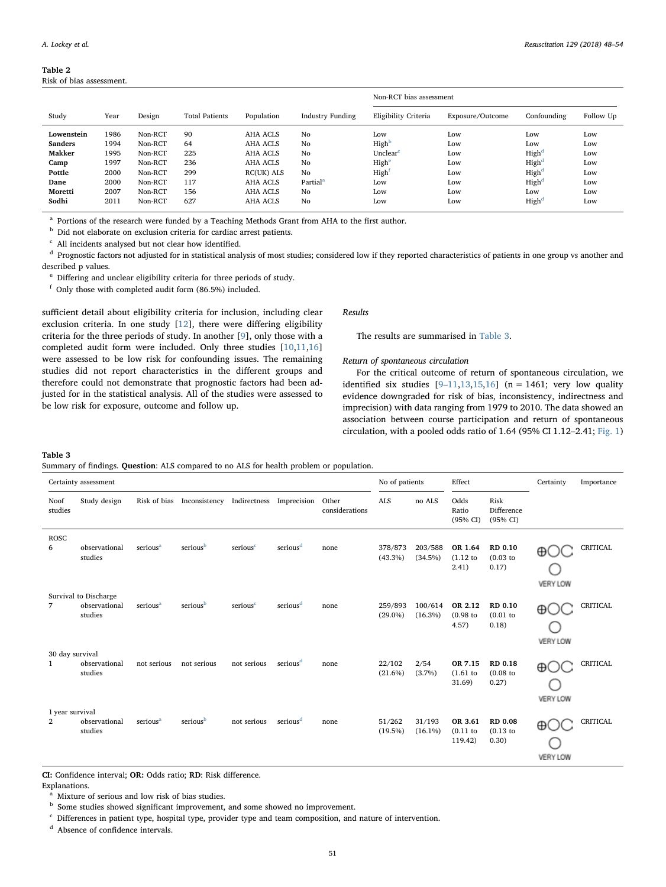<span id="page-3-0"></span>

| Table 2                  |  |
|--------------------------|--|
| Risk of bias assessment. |  |

|                |      |         |                       |                 |                         | Non-RCT bias assessment |                  |                   |           |
|----------------|------|---------|-----------------------|-----------------|-------------------------|-------------------------|------------------|-------------------|-----------|
| Study          | Year | Design  | <b>Total Patients</b> | Population      | <b>Industry Funding</b> | Eligibility Criteria    | Exposure/Outcome | Confounding       | Follow Up |
| Lowenstein     | 1986 | Non-RCT | 90                    | AHA ACLS        | No                      | Low                     | Low              | Low               | Low       |
| <b>Sanders</b> | 1994 | Non-RCT | 64                    | <b>AHA ACLS</b> | No                      | High <sup>b</sup>       | Low              | Low               | Low       |
| Makker         | 1995 | Non-RCT | 225                   | AHA ACLS        | No                      | Unclear <sup>c</sup>    | Low              | High <sup>d</sup> | Low       |
| Camp           | 1997 | Non-RCT | 236                   | <b>AHA ACLS</b> | No                      | Highe                   | Low              | High <sup>d</sup> | Low       |
| Pottle         | 2000 | Non-RCT | 299                   | RC(UK) ALS      | No                      | High <sup>1</sup>       | Low              | High <sup>d</sup> | Low       |
| Dane           | 2000 | Non-RCT | 117                   | AHA ACLS        | Partial <sup>a</sup>    | Low                     | Low              | High              | Low       |
| Moretti        | 2007 | Non-RCT | 156                   | AHA ACLS        | No                      | Low                     | Low              | Low               | Low       |
| Sodhi          | 2011 | Non-RCT | 627                   | <b>AHA ACLS</b> | No                      | Low                     | Low              | High              | Low       |

<span id="page-3-7"></span><sup>a</sup> Portions of the research were funded by a Teaching Methods Grant from AHA to the first author.

<span id="page-3-2"></span> $<sup>b</sup>$  Did not elaborate on exclusion criteria for cardiac arrest patients.</sup>

<span id="page-3-3"></span> $c$  All incidents analysed but not clear how identified.

<span id="page-3-4"></span> $d$  Prognostic factors not adjusted for in statistical analysis of most studies; considered low if they reported characteristics of patients in one group vs another and described p values.

<span id="page-3-5"></span><sup>e</sup> Differing and unclear eligibility criteria for three periods of study.

<span id="page-3-6"></span><sup>f</sup> Only those with completed audit form (86.5%) included.

sufficient detail about eligibility criteria for inclusion, including clear exclusion criteria. In one study [[12\]](#page-6-15), there were differing eligibility criteria for the three periods of study. In another [\[9\]](#page-6-8), only those with a completed audit form were included. Only three studies [[10,](#page-6-12)[11](#page-6-14)[,16](#page-6-11)] were assessed to be low risk for confounding issues. The remaining studies did not report characteristics in the different groups and therefore could not demonstrate that prognostic factors had been adjusted for in the statistical analysis. All of the studies were assessed to be low risk for exposure, outcome and follow up.

Results

The results are summarised in [Table 3.](#page-3-1)

## Return of spontaneous circulation

For the critical outcome of return of spontaneous circulation, we identified six studies  $[9-11, 13, 15, 16]$  $[9-11, 13, 15, 16]$  $[9-11, 13, 15, 16]$  $[9-11, 13, 15, 16]$  $[9-11, 13, 15, 16]$  $[9-11, 13, 15, 16]$  $[9-11, 13, 15, 16]$  (n = 1461; very low quality evidence downgraded for risk of bias, inconsistency, indirectness and imprecision) with data ranging from 1979 to 2010. The data showed an association between course participation and return of spontaneous circulation, with a pooled odds ratio of 1.64 (95% CI 1.12–2.41; [Fig. 1\)](#page-4-0)

#### <span id="page-3-1"></span>Table 3

Summary of findings. Question: ALS compared to no ALS for health problem or population.

|                                   | Certainty assessment                              |                      |                      |                      |                      |                         |                       |                       | Effect                            |                                        | Certainty            | Importance      |
|-----------------------------------|---------------------------------------------------|----------------------|----------------------|----------------------|----------------------|-------------------------|-----------------------|-----------------------|-----------------------------------|----------------------------------------|----------------------|-----------------|
| Noof<br>studies                   | Study design                                      | Risk of bias         | Inconsistency        | Indirectness         | Imprecision          | Other<br>considerations | <b>ALS</b>            | no ALS                | Odds<br>Ratio<br>(95% CI)         | Risk<br>Difference<br>(95% CI)         |                      |                 |
| <b>ROSC</b><br>6                  | observational<br>studies                          | serious <sup>a</sup> | seriousb             | serious <sup>c</sup> | serious <sup>d</sup> | none                    | 378/873<br>$(43.3\%)$ | 203/588<br>(34.5%)    | OR 1.64<br>(1.12)<br>2.41)        | RD 0.10<br>$(0.03)$ to<br>0.17)        | ⊕<br><b>VERY LOW</b> | <b>CRITICAL</b> |
| 7                                 | Survival to Discharge<br>observational<br>studies | serious <sup>a</sup> | serious <sup>b</sup> | serious <sup>c</sup> | serious <sup>d</sup> | none                    | 259/893<br>$(29.0\%)$ | 100/614<br>$(16.3\%)$ | OR 2.12<br>$(0.98)$ to<br>4.57)   | RD 0.10<br>$(0.01)$ to<br>0.18)        | ⊕<br><b>VERY LOW</b> | <b>CRITICAL</b> |
| 30 day survival<br>-1             | observational<br>studies                          | not serious          | not serious          | not serious          | serious <sup>d</sup> | none                    | 22/102<br>$(21.6\%)$  | 2/54<br>$(3.7\%)$     | OR 7.15<br>$(1.61)$ to<br>31.69)  | RD 0.18<br>$(0.08)$ to<br>0.27)        | ⊕<br><b>VERY LOW</b> | <b>CRITICAL</b> |
| 1 year survival<br>$\overline{2}$ | observational<br>studies                          | serious <sup>a</sup> | seriousb             | not serious          | serious <sup>d</sup> | none                    | 51/262<br>(19.5%)     | 31/193<br>$(16.1\%)$  | OR 3.61<br>$(0.11)$ to<br>119.42) | <b>RD 0.08</b><br>$(0.13)$ to<br>0.30) | ⊕<br><b>VERY LOW</b> | <b>CRITICAL</b> |

CI: Confidence interval; OR: Odds ratio; RD: Risk difference.

Explanations.

<span id="page-3-8"></span><sup>a</sup> Mixture of serious and low risk of bias studies.

<span id="page-3-9"></span> $b$  Some studies showed significant improvement, and some showed no improvement.

<span id="page-3-10"></span><sup>c</sup> Differences in patient type, hospital type, provider type and team composition, and nature of intervention.

<span id="page-3-11"></span><sup>d</sup> Absence of confidence intervals.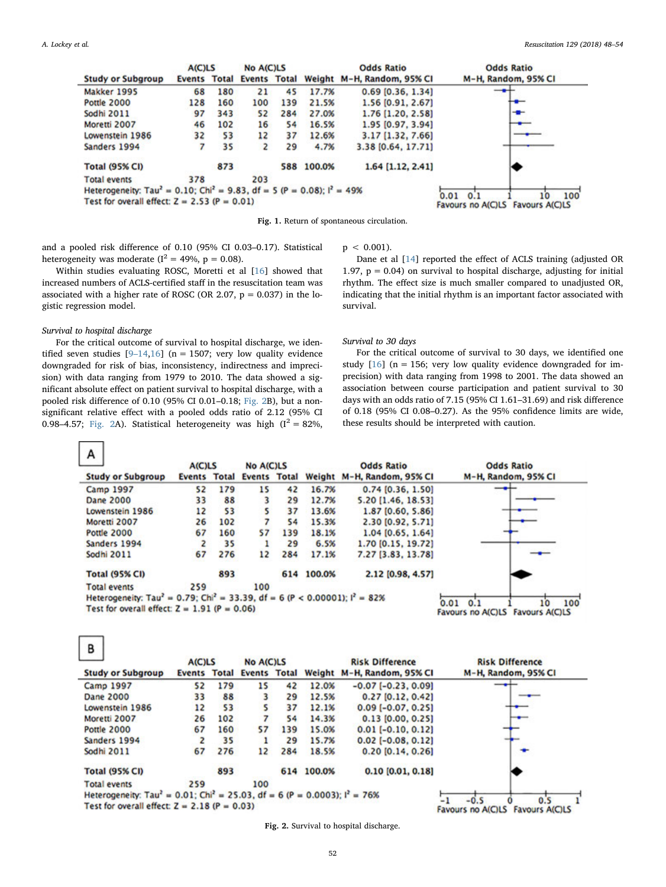<span id="page-4-0"></span>

|                                                                                                 | A(C)LS        |       | <b>No A(C)LS</b>    |     |            | <b>Odds Ratio</b>          | <b>Odds Ratio</b>                      |
|-------------------------------------------------------------------------------------------------|---------------|-------|---------------------|-----|------------|----------------------------|----------------------------------------|
| <b>Study or Subgroup</b>                                                                        | <b>Events</b> | Total | <b>Events Total</b> |     |            | Weight M-H, Random, 95% CI | M-H, Random, 95% CI                    |
| Makker 1995                                                                                     | 68            | 180   | 21                  | 45  | 17.7%      | $0.69$ [0.36, 1.34]        |                                        |
| <b>Pottle 2000</b>                                                                              | 128           | 160   | 100                 | 139 | 21.5%      | 1.56 [0.91, 2.67]          |                                        |
| Sodhi 2011                                                                                      | 97            | 343   | 52                  | 284 | 27.0%      | 1.76 [1.20, 2.58]          |                                        |
| Moretti 2007                                                                                    | 46            | 102   | 16                  | 54  | 16.5%      | 1.95 [0.97, 3.94]          |                                        |
| Lowenstein 1986                                                                                 | 32            | 53    | 12                  | 37  | 12.6%      | 3.17 [1.32, 7.66]          |                                        |
| Sanders 1994                                                                                    |               | 35    |                     | 29  | 4.7%       | 3.38 [0.64, 17.71]         |                                        |
| <b>Total (95% CI)</b>                                                                           |               | 873   |                     |     | 588 100.0% | 1.64 [1.12, 2.41]          |                                        |
| <b>Total events</b>                                                                             | 378           |       | 203                 |     |            |                            |                                        |
| Heterogeneity: Tau <sup>2</sup> = 0.10; Chi <sup>2</sup> = 9.83, df = 5 (P = 0.08); $I^2$ = 49% |               |       | 100<br>0.01<br>0.   |     |            |                            |                                        |
| Test for overall effect: $Z = 2.53$ (P = 0.01)                                                  |               |       |                     |     |            |                            | 10<br>Favours no A(C)LS Favours A(C)LS |

Fig. 1. Return of spontaneous circulation.

and a pooled risk difference of 0.10 (95% CI 0.03–0.17). Statistical heterogeneity was moderate ( $I^2 = 49\%$ ,  $p = 0.08$ ).

Within studies evaluating ROSC, Moretti et al [[16\]](#page-6-11) showed that increased numbers of ACLS-certified staff in the resuscitation team was associated with a higher rate of ROSC (OR 2.07,  $p = 0.037$ ) in the logistic regression model.

### Survival to hospital discharge

<span id="page-4-1"></span> $\sim$ 

 $\Box$ 

For the critical outcome of survival to hospital discharge, we identified seven studies  $[9-14,16]$  $[9-14,16]$  $[9-14,16]$  $[9-14,16]$  (n = 1507; very low quality evidence downgraded for risk of bias, inconsistency, indirectness and imprecision) with data ranging from 1979 to 2010. The data showed a significant absolute effect on patient survival to hospital discharge, with a pooled risk difference of 0.10 (95% CI 0.01–0.18; [Fig. 2B](#page-4-1)), but a nonsignificant relative effect with a pooled odds ratio of 2.12 (95% CI 0.98–4.57; [Fig. 2A](#page-4-1)). Statistical heterogeneity was high  $(I^2 = 82\%,$ 

 $p < 0.001$ ).

Dane et al [[14\]](#page-6-9) reported the effect of ACLS training (adjusted OR 1.97,  $p = 0.04$ ) on survival to hospital discharge, adjusting for initial rhythm. The effect size is much smaller compared to unadjusted OR, indicating that the initial rhythm is an important factor associated with survival.

# Survival to 30 days

For the critical outcome of survival to 30 days, we identified one study  $[16]$  $[16]$  (n = 156; very low quality evidence downgraded for imprecision) with data ranging from 1998 to 2001. The data showed an association between course participation and patient survival to 30 days with an odds ratio of 7.15 (95% CI 1.61–31.69) and risk difference of 0.18 (95% CI 0.08–0.27). As the 95% confidence limits are wide, these results should be interpreted with caution.

|                                                                                                     | <b>A(C)LS</b> |              | <b>No A(C)LS</b> |              |        | <b>Odds Ratio</b>          |                          | <b>Odds Ratio</b>   |
|-----------------------------------------------------------------------------------------------------|---------------|--------------|------------------|--------------|--------|----------------------------|--------------------------|---------------------|
| <b>Study or Subgroup</b>                                                                            | <b>Events</b> | <b>Total</b> | <b>Events</b>    | <b>Total</b> |        | Weight M-H, Random, 95% CI |                          | M-H, Random, 95% CI |
| <b>Camp 1997</b>                                                                                    | 52            | 179          | 15               | 42           | 16.7%  | 0.74 [0.36, 1.50]          |                          |                     |
| <b>Dane 2000</b>                                                                                    | 33            | 88           | 3                | 29           | 12.7%  | 5.20 [1.46, 18.53]         |                          |                     |
| Lowenstein 1986                                                                                     | 12            | 53           |                  | 37           | 13.6%  | 1.87 [0.60, 5.86]          |                          |                     |
| Moretti 2007                                                                                        | 26            | 102          |                  | 54           | 15.3%  | 2.30 [0.92, 5.71]          |                          |                     |
| <b>Pottle 2000</b>                                                                                  | 67            | 160          | 57               | 139          | 18.1%  | $1.04$ [0.65, 1.64]        |                          |                     |
| Sanders 1994                                                                                        | 2             | 35           |                  | 29           | 6.5%   | 1.70 [0.15, 19.72]         |                          |                     |
| <b>Sodhi 2011</b>                                                                                   | 67            | 276          | 12               | 284          | 17.1%  | 7.27 [3.83, 13.78]         |                          |                     |
| <b>Total (95% CI)</b>                                                                               |               | 893          |                  | 614          | 100.0% | 2.12 [0.98, 4.57]          |                          |                     |
| <b>Total events</b>                                                                                 | 259           |              | 100              |              |        |                            |                          |                     |
| Heterogeneity: Tau <sup>2</sup> = 0.79; Chi <sup>2</sup> = 33.39, df = 6 (P < 0.00001); $I^2$ = 82% |               |              |                  |              |        |                            | 0.01                     | 100                 |
| Test for overall effect: $Z = 1.91$ (P = 0.06)                                                      |               |              |                  |              |        |                            | 0.1<br>Favours no A(C)LS | Favours A(C)LS      |

|                                                                                                    | <b>A(C)LS</b> |              | <b>No A(C)LS</b> |              |        | <b>Risk Difference</b>     | <b>Risk Difference</b>                            |
|----------------------------------------------------------------------------------------------------|---------------|--------------|------------------|--------------|--------|----------------------------|---------------------------------------------------|
| <b>Study or Subgroup</b>                                                                           | <b>Events</b> | <b>Total</b> | <b>Events</b>    | <b>Total</b> |        | Weight M-H, Random, 95% CI | M-H, Random, 95% CI                               |
| <b>Camp 1997</b>                                                                                   | 52            | 179          | 15               | 42           | 12.0%  | $-0.07$ [ $-0.23$ , 0.09]  |                                                   |
| Dane 2000                                                                                          | 33            | 88           | 3                | 29           | 12.5%  | $0.27$ [0.12, 0.42]        |                                                   |
| Lowenstein 1986                                                                                    | 12            | 53           |                  | 37           | 12.1%  | $0.09$ [-0.07, 0.25]       |                                                   |
| Moretti 2007                                                                                       | 26            | 102          |                  | 54           | 14.3%  | $0.13$ [0.00, 0.25]        | -                                                 |
| <b>Pottle 2000</b>                                                                                 | 67            | 160          | 57               | 139          | 15.0%  | $0.01$ [-0.10, 0.12]       |                                                   |
| Sanders 1994                                                                                       | 2             | 35           |                  | 29           | 15.7%  | $0.02$ [-0.08, 0.12]       |                                                   |
| Sodhi 2011                                                                                         | 67            | 276          | 12               | 284          | 18.5%  | $0.20$ [0.14, 0.26]        |                                                   |
| <b>Total (95% CI)</b>                                                                              |               | 893          |                  | 614          | 100.0% | $0.10$ $[0.01, 0.18]$      |                                                   |
| <b>Total events</b>                                                                                | 259           |              | 100              |              |        |                            |                                                   |
| Heterogeneity: Tau <sup>2</sup> = 0.01; Chi <sup>2</sup> = 25.03, df = 6 (P = 0.0003); $I^2$ = 76% |               |              |                  |              |        |                            |                                                   |
| Test for overall effect: $Z = 2.18$ (P = 0.03)                                                     |               |              |                  |              |        |                            | $-0.5$<br>0.5<br>Favours no A(C)LS Favours A(C)LS |

Fig. 2. Survival to hospital discharge.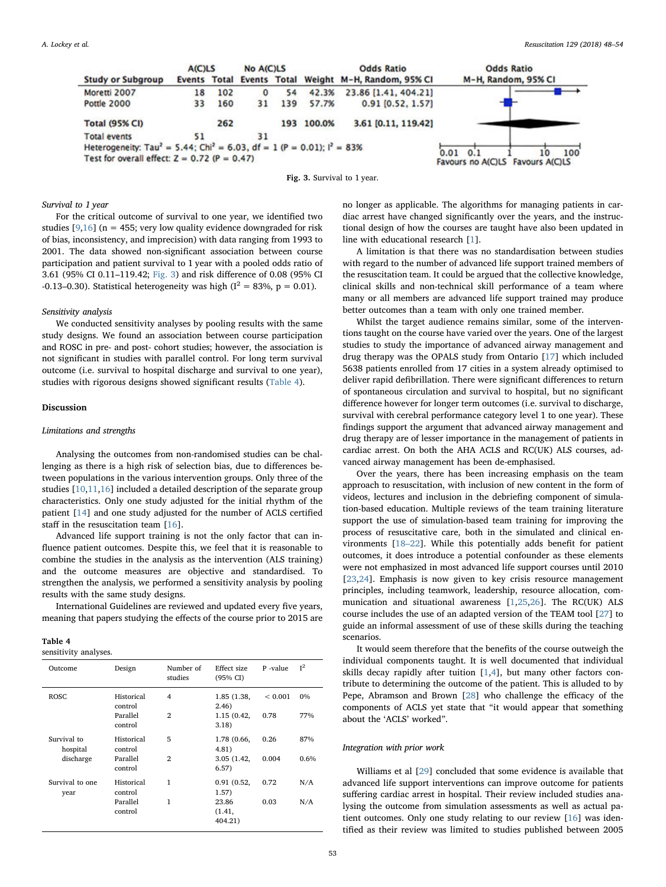<span id="page-5-0"></span>

Fig. 3. Survival to 1 year.

#### Survival to 1 year

For the critical outcome of survival to one year, we identified two studies [\[9](#page-6-8)[,16](#page-6-11)] ( $n = 455$ ; very low quality evidence downgraded for risk of bias, inconsistency, and imprecision) with data ranging from 1993 to 2001. The data showed non-significant association between course participation and patient survival to 1 year with a pooled odds ratio of 3.61 (95% CI 0.11–119.42; [Fig. 3](#page-5-0)) and risk difference of 0.08 (95% CI -0.13–0.30). Statistical heterogeneity was high ( $I^2 = 83\%$ , p = 0.01).

#### Sensitivity analysis

We conducted sensitivity analyses by pooling results with the same study designs. We found an association between course participation and ROSC in pre- and post- cohort studies; however, the association is not significant in studies with parallel control. For long term survival outcome (i.e. survival to hospital discharge and survival to one year), studies with rigorous designs showed significant results [\(Table 4\)](#page-5-1).

## Discussion

## Limitations and strengths

Analysing the outcomes from non-randomised studies can be challenging as there is a high risk of selection bias, due to differences between populations in the various intervention groups. Only three of the studies [\[10](#page-6-12),[11,](#page-6-14)[16\]](#page-6-11) included a detailed description of the separate group characteristics. Only one study adjusted for the initial rhythm of the patient [[14\]](#page-6-9) and one study adjusted for the number of ACLS certified staff in the resuscitation team [[16\]](#page-6-11).

Advanced life support training is not the only factor that can influence patient outcomes. Despite this, we feel that it is reasonable to combine the studies in the analysis as the intervention (ALS training) and the outcome measures are objective and standardised. To strengthen the analysis, we performed a sensitivity analysis by pooling results with the same study designs.

International Guidelines are reviewed and updated every five years, meaning that papers studying the effects of the course prior to 2015 are

#### <span id="page-5-1"></span>Table 4

sensitivity analyses.

| Outcome                 | Design                | Number of<br>studies | Effect size<br>(95% CI)    | P-value     | $I^2$ |
|-------------------------|-----------------------|----------------------|----------------------------|-------------|-------|
| <b>ROSC</b>             | Historical<br>control | 4                    | 1.85 (1.38,<br>(2.46)      | ${}< 0.001$ | $0\%$ |
|                         | Parallel<br>control   | $\overline{2}$       | 1.15(0.42,<br>3.18)        | 0.78        | 77%   |
| Survival to<br>hospital | Historical<br>control | 5                    | 1.78 (0.66,<br>4.81)       | 0.26        | 87%   |
| discharge               | Parallel<br>control   | 2                    | 3.05(1.42,<br>6.57)        | 0.004       | 0.6%  |
| Survival to one<br>year | Historical<br>control | 1                    | 0.91(0.52,<br>1.57)        | 0.72        | N/A   |
|                         | Parallel<br>control   | 1                    | 23.86<br>(1.41,<br>404.21) | 0.03        | N/A   |

no longer as applicable. The algorithms for managing patients in cardiac arrest have changed significantly over the years, and the instructional design of how the courses are taught have also been updated in line with educational research [\[1\]](#page-6-0).

A limitation is that there was no standardisation between studies with regard to the number of advanced life support trained members of the resuscitation team. It could be argued that the collective knowledge, clinical skills and non-technical skill performance of a team where many or all members are advanced life support trained may produce better outcomes than a team with only one trained member.

Whilst the target audience remains similar, some of the interventions taught on the course have varied over the years. One of the largest studies to study the importance of advanced airway management and drug therapy was the OPALS study from Ontario [[17\]](#page-6-16) which included 5638 patients enrolled from 17 cities in a system already optimised to deliver rapid defibrillation. There were significant differences to return of spontaneous circulation and survival to hospital, but no significant difference however for longer term outcomes (i.e. survival to discharge, survival with cerebral performance category level 1 to one year). These findings support the argument that advanced airway management and drug therapy are of lesser importance in the management of patients in cardiac arrest. On both the AHA ACLS and RC(UK) ALS courses, advanced airway management has been de-emphasised.

Over the years, there has been increasing emphasis on the team approach to resuscitation, with inclusion of new content in the form of videos, lectures and inclusion in the debriefing component of simulation-based education. Multiple reviews of the team training literature support the use of simulation-based team training for improving the process of resuscitative care, both in the simulated and clinical environments [18–[22\]](#page-6-17). While this potentially adds benefit for patient outcomes, it does introduce a potential confounder as these elements were not emphasized in most advanced life support courses until 2010 [[23](#page-6-18)[,24](#page-6-19)]. Emphasis is now given to key crisis resource management principles, including teamwork, leadership, resource allocation, communication and situational awareness [\[1,](#page-6-0)[25](#page-6-20)[,26](#page-6-21)]. The RC(UK) ALS course includes the use of an adapted version of the TEAM tool [[27\]](#page-6-22) to guide an informal assessment of use of these skills during the teaching scenarios.

It would seem therefore that the benefits of the course outweigh the individual components taught. It is well documented that individual skills decay rapidly after tuition [[1](#page-6-0)[,4\]](#page-6-3), but many other factors contribute to determining the outcome of the patient. This is alluded to by Pepe, Abramson and Brown [[28\]](#page-6-23) who challenge the efficacy of the components of ACLS yet state that "it would appear that something about the 'ACLS' worked".

## Integration with prior work

Williams et al [[29\]](#page-6-24) concluded that some evidence is available that advanced life support interventions can improve outcome for patients suffering cardiac arrest in hospital. Their review included studies analysing the outcome from simulation assessments as well as actual patient outcomes. Only one study relating to our review [[16\]](#page-6-11) was identified as their review was limited to studies published between 2005